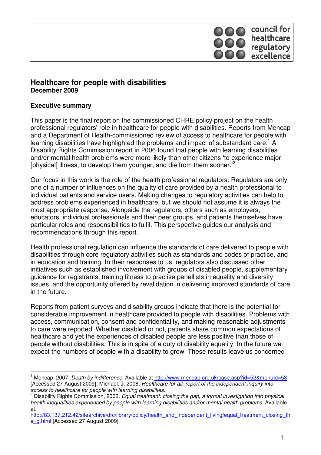

## **Healthcare for people with disabilities December 2009**

### **Executive summary**

This paper is the final report on the commissioned CHRE policy project on the health professional regulators' role in healthcare for people with disabilities. Reports from Mencap and a Department of Health-commissioned review of access to healthcare for people with learning disabilities have highlighted the problems and impact of substandard care.<sup>1</sup> A Disability Rights Commission report in 2006 found that people with learning disabilities and/or mental health problems were more likely than other citizens 'to experience major [physical] illness, to develop them younger, and die from them sooner.<sup>2</sup>

Our focus in this work is the role of the health professional regulators. Regulators are only one of a number of influences on the quality of care provided by a health professional to individual patients and service users. Making changes to regulatory activities can help to address problems experienced in healthcare, but we should not assume it is always the most appropriate response. Alongside the regulators, others such as employers, educators, individual professionals and their peer groups, and patients themselves have particular roles and responsibilities to fulfil. This perspective guides our analysis and recommendations through this report.

Health professional regulation can influence the standards of care delivered to people with disabilities through core regulatory activities such as standards and codes of practice, and in education and training. In their responses to us, regulators also discussed other initiatives such as established involvement with groups of disabled people, supplementary guidance for registrants, training fitness to practise panellists in equality and diversity issues, and the opportunity offered by revalidation in delivering improved standards of care in the future.

Reports from patient surveys and disability groups indicate that there is the potential for considerable improvement in healthcare provided to people with disabilities. Problems with access, communication, consent and confidentiality, and making reasonable adjustments to care were reported. Whether disabled or not, patients share common expectations of healthcare and yet the experiences of disabled people are less positive than those of people without disabilities. This is in spite of a duty of disability equality. In the future we expect the numbers of people with a disability to grow. These results leave us concerned

<sup>1</sup> Mencap, 2007. Death by indifference. Available at http://www.mencap.org.uk/case.asp?id=52&menuId=53 [Accessed 27 August 2009]; Michael, J, 2008. Healthcare for all: report of the independent inquiry into access to healthcare for people with learning disabilities.

<sup>&</sup>lt;sup>2</sup> Disability Rights Commission, 2006. Equal treatment: closing the gap, a formal investigation into physical health inequalities experienced by people with learning disabilities and/or mental health problems. Available at:

http://83.137.212.42/sitearchive/drc/library/policy/health\_and\_independent\_living/equal\_treatment\_closing\_th e\_g.html [Accessed 27 August 2009]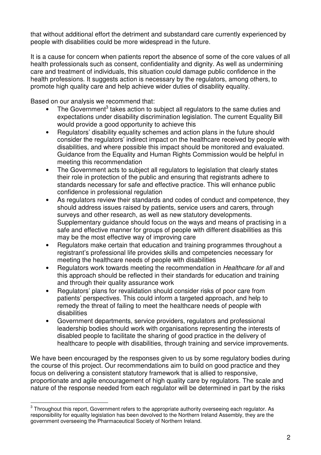that without additional effort the detriment and substandard care currently experienced by people with disabilities could be more widespread in the future.

It is a cause for concern when patients report the absence of some of the core values of all health professionals such as consent, confidentiality and dignity. As well as undermining care and treatment of individuals, this situation could damage public confidence in the health professions. It suggests action is necessary by the regulators, among others, to promote high quality care and help achieve wider duties of disability equality.

Based on our analysis we recommend that:

- The Government<sup>3</sup> takes action to subject all regulators to the same duties and expectations under disability discrimination legislation. The current Equality Bill would provide a good opportunity to achieve this
- Regulators' disability equality schemes and action plans in the future should consider the regulators' indirect impact on the healthcare received by people with disabilities, and where possible this impact should be monitored and evaluated. Guidance from the Equality and Human Rights Commission would be helpful in meeting this recommendation
- The Government acts to subject all regulators to legislation that clearly states their role in protection of the public and ensuring that registrants adhere to standards necessary for safe and effective practice. This will enhance public confidence in professional regulation
- As regulators review their standards and codes of conduct and competence, they should address issues raised by patients, service users and carers, through surveys and other research, as well as new statutory developments. Supplementary guidance should focus on the ways and means of practising in a safe and effective manner for groups of people with different disabilities as this may be the most effective way of improving care
- Regulators make certain that education and training programmes throughout a registrant's professional life provides skills and competencies necessary for meeting the healthcare needs of people with disabilities
- Regulators work towards meeting the recommendation in Healthcare for all and this approach should be reflected in their standards for education and training and through their quality assurance work
- Regulators' plans for revalidation should consider risks of poor care from patients' perspectives. This could inform a targeted approach, and help to remedy the threat of failing to meet the healthcare needs of people with disabilities
- Government departments, service providers, regulators and professional leadership bodies should work with organisations representing the interests of disabled people to facilitate the sharing of good practice in the delivery of healthcare to people with disabilities, through training and service improvements.

We have been encouraged by the responses given to us by some regulatory bodies during the course of this project. Our recommendations aim to build on good practice and they focus on delivering a consistent statutory framework that is allied to responsive, proportionate and agile encouragement of high quality care by regulators. The scale and nature of the response needed from each regulator will be determined in part by the risks

 $\overline{\phantom{a}}$  $^3$  Throughout this report, Government refers to the appropriate authority overseeing each regulator. As responsibility for equality legislation has been devolved to the Northern Ireland Assembly, they are the government overseeing the Pharmaceutical Society of Northern Ireland.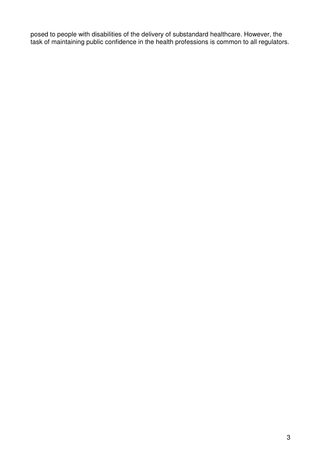posed to people with disabilities of the delivery of substandard healthcare. However, the task of maintaining public confidence in the health professions is common to all regulators.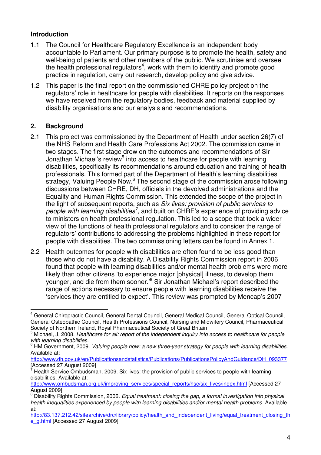## **Introduction**

- 1.1 The Council for Healthcare Regulatory Excellence is an independent body accountable to Parliament. Our primary purpose is to promote the health, safety and well-being of patients and other members of the public. We scrutinise and oversee the health professional regulators<sup>4</sup>, work with them to identify and promote good practice in regulation, carry out research, develop policy and give advice.
- 1.2 This paper is the final report on the commissioned CHRE policy project on the regulators' role in healthcare for people with disabilities. It reports on the responses we have received from the regulatory bodies, feedback and material supplied by disability organisations and our analysis and recommendations.

## **2. Background**

- 2.1 This project was commissioned by the Department of Health under section 26(7) of the NHS Reform and Health Care Professions Act 2002. The commission came in two stages. The first stage drew on the outcomes and recommendations of Sir Jonathan Michael's review<sup>5</sup> into access to healthcare for people with learning disabilities, specifically its recommendations around education and training of health professionals. This formed part of the Department of Health's learning disabilities strategy, Valuing People Now.<sup>6</sup> The second stage of the commission arose following discussions between CHRE, DH, officials in the devolved administrations and the Equality and Human Rights Commission. This extended the scope of the project in the light of subsequent reports, such as Six lives: provision of public services to people with learning disabilities<sup>7</sup>, and built on CHRE's experience of providing advice to ministers on health professional regulation. This led to a scope that took a wider view of the functions of health professional regulators and to consider the range of regulators' contributions to addressing the problems highlighted in these report for people with disabilities. The two commissioning letters can be found in Annex 1.
- 2.2 Health outcomes for people with disabilities are often found to be less good than those who do not have a disability. A Disability Rights Commission report in 2006 found that people with learning disabilities and/or mental health problems were more likely than other citizens 'to experience major [physical] illness, to develop them younger, and die from them sooner.<sup>8</sup> Sir Jonathan Michael's report described the range of actions necessary to ensure people with learning disabilities receive the 'services they are entitled to expect'. This review was prompted by Mencap's 2007

 $\overline{a}$ 4 General Chiropractic Council, General Dental Council, General Medical Council, General Optical Council, General Osteopathic Council, Health Professions Council, Nursing and Midwifery Council, Pharmaceutical Society of Northern Ireland, Royal Pharmaceutical Society of Great Britain

<sup>5</sup> Michael, J, 2008. Healthcare for all: report of the independent inquiry into access to healthcare for people with learning disabilities.

<sup>6</sup> HM Government, 2009. Valuing people now: a new three-year strategy for people with learning disabilities. Available at:

http://www.dh.gov.uk/en/Publicationsandstatistics/Publications/PublicationsPolicyAndGuidance/DH\_093377 [Accessed 27 August 2009]

<sup>7</sup> Health Service Ombudsman, 2009. Six lives: the provision of public services to people with learning disabilities. Available at:

http://www.ombudsman.org.uk/improving\_services/special\_reports/hsc/six\_lives/index.html [Accessed 27 August 2009]

<sup>&</sup>lt;sup>8</sup> Disability Rights Commission, 2006. Equal treatment: closing the gap, a formal investigation into physical health inequalities experienced by people with learning disabilities and/or mental health problems. Available at:

http://83.137.212.42/sitearchive/drc/library/policy/health\_and\_independent\_living/equal\_treatment\_closing\_th e\_g.html [Accessed 27 August 2009]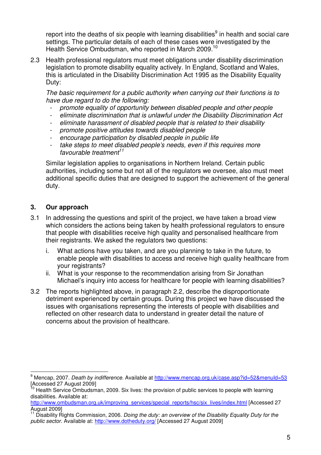report into the deaths of six people with learning disabilities $9$  in health and social care settings. The particular details of each of these cases were investigated by the Health Service Ombudsman, who reported in March 2009.<sup>10</sup>

2.3 Health professional regulators must meet obligations under disability discrimination legislation to promote disability equality actively. In England, Scotland and Wales, this is articulated in the Disability Discrimination Act 1995 as the Disability Equality Duty:

The basic requirement for a public authority when carrying out their functions is to have due regard to do the following:

- promote equality of opportunity between disabled people and other people
- eliminate discrimination that is unlawful under the Disability Discrimination Act
- eliminate harassment of disabled people that is related to their disability
- promote positive attitudes towards disabled people
- encourage participation by disabled people in public life
- take steps to meet disabled people's needs, even if this requires more favourable treatment<sup>11</sup>

Similar legislation applies to organisations in Northern Ireland. Certain public authorities, including some but not all of the regulators we oversee, also must meet additional specific duties that are designed to support the achievement of the general duty.

## **3. Our approach**

- 3.1 In addressing the questions and spirit of the project, we have taken a broad view which considers the actions being taken by health professional regulators to ensure that people with disabilities receive high quality and personalised healthcare from their registrants. We asked the regulators two questions:
	- i. What actions have you taken, and are you planning to take in the future, to enable people with disabilities to access and receive high quality healthcare from your registrants?
	- ii. What is your response to the recommendation arising from Sir Jonathan Michael's inquiry into access for healthcare for people with learning disabilities?
- 3.2 The reports highlighted above, in paragraph 2.2, describe the disproportionate detriment experienced by certain groups. During this project we have discussed the issues with organisations representing the interests of people with disabilities and reflected on other research data to understand in greater detail the nature of concerns about the provision of healthcare.

<sup>&</sup>lt;u>.</u><br><sup>9</sup> Mencap, 2007*. Death by indifference.* Available at <u>http://www.mencap.org.uk/case.asp?id=52&menuId=53</u> [Accessed 27 August 2009]

<sup>&</sup>lt;sup>10</sup> Health Service Ombudsman, 2009. Six lives: the provision of public services to people with learning disabilities. Available at:

http://www.ombudsman.org.uk/improving\_services/special\_reports/hsc/six\_lives/index.html [Accessed 27 August 2009]

Disability Rights Commission, 2006. Doing the duty: an overview of the Disability Equality Duty for the public sector. Available at: http://www.dotheduty.org/ [Accessed 27 August 2009]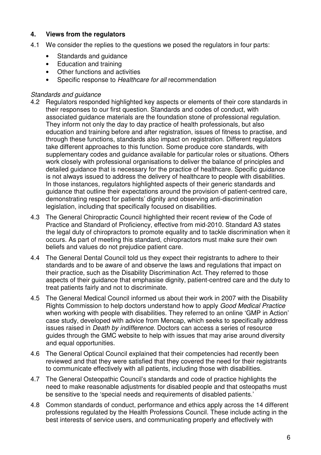## **4. Views from the regulators**

- 4.1 We consider the replies to the questions we posed the regulators in four parts:
	- Standards and guidance
	- Education and training
	- Other functions and activities
	- Specific response to Healthcare for all recommendation

### Standards and guidance

- 4.2 Regulators responded highlighted key aspects or elements of their core standards in their responses to our first question. Standards and codes of conduct, with associated guidance materials are the foundation stone of professional regulation. They inform not only the day to day practice of health professionals, but also education and training before and after registration, issues of fitness to practise, and through these functions, standards also impact on registration. Different regulators take different approaches to this function. Some produce core standards, with supplementary codes and guidance available for particular roles or situations. Others work closely with professional organisations to deliver the balance of principles and detailed guidance that is necessary for the practice of healthcare. Specific guidance is not always issued to address the delivery of healthcare to people with disabilities. In those instances, regulators highlighted aspects of their generic standards and guidance that outline their expectations around the provision of patient-centred care, demonstrating respect for patients' dignity and observing anti-discrimination legislation, including that specifically focused on disabilities.
- 4.3 The General Chiropractic Council highlighted their recent review of the Code of Practice and Standard of Proficiency, effective from mid-2010. Standard A3 states the legal duty of chiropractors to promote equality and to tackle discrimination when it occurs. As part of meeting this standard, chiropractors must make sure their own beliefs and values do not prejudice patient care.
- 4.4 The General Dental Council told us they expect their registrants to adhere to their standards and to be aware of and observe the laws and regulations that impact on their practice, such as the Disability Discrimination Act. They referred to those aspects of their guidance that emphasise dignity, patient-centred care and the duty to treat patients fairly and not to discriminate.
- 4.5 The General Medical Council informed us about their work in 2007 with the Disability Rights Commission to help doctors understand how to apply Good Medical Practice when working with people with disabilities. They referred to an online 'GMP in Action' case study, developed with advice from Mencap, which seeks to specifically address issues raised in Death by indifference. Doctors can access a series of resource guides through the GMC website to help with issues that may arise around diversity and equal opportunities.
- 4.6 The General Optical Council explained that their competencies had recently been reviewed and that they were satisfied that they covered the need for their registrants to communicate effectively with all patients, including those with disabilities.
- 4.7 The General Osteopathic Council's standards and code of practice highlights the need to make reasonable adjustments for disabled people and that osteopaths must be sensitive to the 'special needs and requirements of disabled patients.'
- 4.8 Common standards of conduct, performance and ethics apply across the 14 different professions regulated by the Health Professions Council. These include acting in the best interests of service users, and communicating properly and effectively with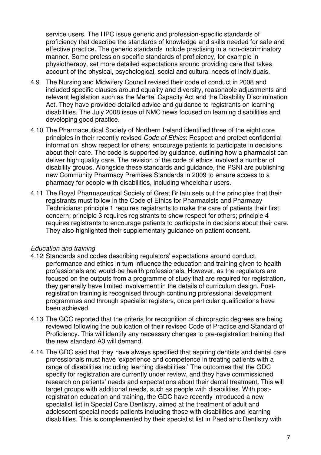service users. The HPC issue generic and profession-specific standards of proficiency that describe the standards of knowledge and skills needed for safe and effective practice. The generic standards include practising in a non-discriminatory manner. Some profession-specific standards of proficiency, for example in physiotherapy, set more detailed expectations around providing care that takes account of the physical, psychological, social and cultural needs of individuals.

- 4.9 The Nursing and Midwifery Council revised their code of conduct in 2008 and included specific clauses around equality and diversity, reasonable adjustments and relevant legislation such as the Mental Capacity Act and the Disability Discrimination Act. They have provided detailed advice and guidance to registrants on learning disabilities. The July 2008 issue of NMC news focused on learning disabilities and developing good practice.
- 4.10 The Pharmaceutical Society of Northern Ireland identified three of the eight core principles in their recently revised *Code of Ethics*: Respect and protect confidential information; show respect for others; encourage patients to participate in decisions about their care. The code is supported by guidance, outlining how a pharmacist can deliver high quality care. The revision of the code of ethics involved a number of disability groups. Alongside these standards and guidance, the PSNI are publishing new Community Pharmacy Premises Standards in 2009 to ensure access to a pharmacy for people with disabilities, including wheelchair users.
- 4.11 The Royal Pharmaceutical Society of Great Britain sets out the principles that their registrants must follow in the Code of Ethics for Pharmacists and Pharmacy Technicians: principle 1 requires registrants to make the care of patients their first concern; principle 3 requires registrants to show respect for others; principle 4 requires registrants to encourage patients to participate in decisions about their care. They also highlighted their supplementary guidance on patient consent.

#### Education and training

- 4.12 Standards and codes describing regulators' expectations around conduct, performance and ethics in turn influence the education and training given to health professionals and would-be health professionals. However, as the regulators are focused on the outputs from a programme of study that are required for registration, they generally have limited involvement in the details of curriculum design. Postregistration training is recognised through continuing professional development programmes and through specialist registers, once particular qualifications have been achieved.
- 4.13 The GCC reported that the criteria for recognition of chiropractic degrees are being reviewed following the publication of their revised Code of Practice and Standard of Proficiency. This will identify any necessary changes to pre-registration training that the new standard A3 will demand.
- 4.14 The GDC said that they have always specified that aspiring dentists and dental care professionals must have 'experience and competence in treating patients with a range of disabilities including learning disabilities.' The outcomes that the GDC specify for registration are currently under review, and they have commissioned research on patients' needs and expectations about their dental treatment. This will target groups with additional needs, such as people with disabilities. With postregistration education and training, the GDC have recently introduced a new specialist list in Special Care Dentistry, aimed at the treatment of adult and adolescent special needs patients including those with disabilities and learning disabilities. This is complemented by their specialist list in Paediatric Dentistry with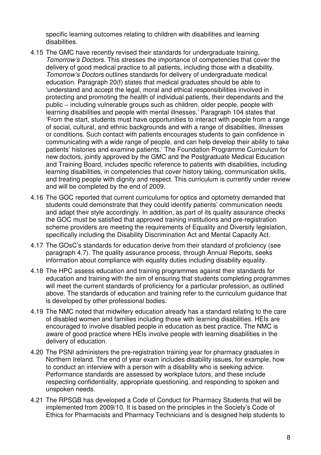specific learning outcomes relating to children with disabilities and learning disabilities.

- 4.15 The GMC have recently revised their standards for undergraduate training, Tomorrow's Doctors. This stresses the importance of competencies that cover the delivery of good medical practice to all patients, including those with a disability. Tomorrow's Doctors outlines standards for delivery of undergraduate medical education. Paragraph 20(f) states that medical graduates should be able to 'understand and accept the legal, moral and ethical responsibilities involved in protecting and promoting the health of individual patients, their dependants and the public – including vulnerable groups such as children, older people, people with learning disabilities and people with mental illnesses.' Paragraph 104 states that 'From the start, students must have opportunities to interact with people from a range of social, cultural, and ethnic backgrounds and with a range of disabilities, illnesses or conditions. Such contact with patients encourages students to gain confidence in communicating with a wide range of people, and can help develop their ability to take patients' histories and examine patients.' The Foundation Programme Curriculum for new doctors, jointly approved by the GMC and the Postgraduate Medical Education and Training Board, includes specific reference to patients with disabilities, including learning disabilities, in competencies that cover history taking, communication skills, and treating people with dignity and respect. This curriculum is currently under review and will be completed by the end of 2009.
- 4.16 The GOC reported that current curriculums for optics and optometry demanded that students could demonstrate that they could identify patients' communication needs and adapt their style accordingly. In addition, as part of its quality assurance checks the GOC must be satisfied that approved training institutions and pre-registration scheme providers are meeting the requirements of Equality and Diversity legislation, specifically including the Disability Discrimination Act and Mental Capacity Act.
- 4.17 The GOsC's standards for education derive from their standard of proficiency (see paragraph 4.7). The quality assurance process, through Annual Reports, seeks information about compliance with equality duties including disability equality.
- 4.18 The HPC assess education and training programmes against their standards for education and training with the aim of ensuring that students completing programmes will meet the current standards of proficiency for a particular profession, as outlined above. The standards of education and training refer to the curriculum guidance that is developed by other professional bodies.
- 4.19 The NMC noted that midwifery education already has a standard relating to the care of disabled women and families including those with learning disabilities. HEIs are encouraged to involve disabled people in education as best practice. The NMC is aware of good practice where HEIs involve people with learning disabilities in the delivery of education.
- 4.20 The PSNI administers the pre-registration training year for pharmacy graduates in Northern Ireland. The end of year exam includes disability issues, for example, how to conduct an interview with a person with a disability who is seeking advice. Performance standards are assessed by workplace tutors, and these include respecting confidentiality, appropriate questioning, and responding to spoken and unspoken needs.
- 4.21 The RPSGB has developed a Code of Conduct for Pharmacy Students that will be implemented from 2009/10. It is based on the principles in the Society's Code of Ethics for Pharmacists and Pharmacy Technicians and is designed help students to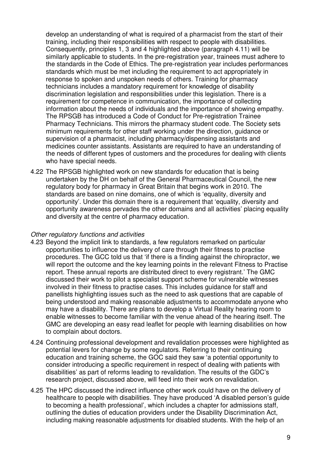develop an understanding of what is required of a pharmacist from the start of their training, including their responsibilities with respect to people with disabilities. Consequently, principles 1, 3 and 4 highlighted above (paragraph 4.11) will be similarly applicable to students. In the pre-registration year, trainees must adhere to the standards in the Code of Ethics. The pre-registration year includes performances standards which must be met including the requirement to act appropriately in response to spoken and unspoken needs of others. Training for pharmacy technicians includes a mandatory requirement for knowledge of disability discrimination legislation and responsibilities under this legislation. There is a requirement for competence in communication, the importance of collecting information about the needs of individuals and the importance of showing empathy. The RPSGB has introduced a Code of Conduct for Pre-registration Trainee Pharmacy Technicians. This mirrors the pharmacy student code. The Society sets minimum requirements for other staff working under the direction, guidance or supervision of a pharmacist, including pharmacy/dispensing assistants and medicines counter assistants. Assistants are required to have an understanding of the needs of different types of customers and the procedures for dealing with clients who have special needs.

4.22 The RPSGB highlighted work on new standards for education that is being undertaken by the DH on behalf of the General Pharmaceutical Council, the new regulatory body for pharmacy in Great Britain that begins work in 2010. The standards are based on nine domains, one of which is 'equality, diversity and opportunity'. Under this domain there is a requirement that 'equality, diversity and opportunity awareness pervades the other domains and all activities' placing equality and diversity at the centre of pharmacy education.

#### Other regulatory functions and activities

- 4.23 Beyond the implicit link to standards, a few regulators remarked on particular opportunities to influence the delivery of care through their fitness to practise procedures. The GCC told us that 'if there is a finding against the chiropractor, we will report the outcome and the key learning points in the relevant Fitness to Practise report. These annual reports are distributed direct to every registrant.' The GMC discussed their work to pilot a specialist support scheme for vulnerable witnesses involved in their fitness to practise cases. This includes guidance for staff and panellists highlighting issues such as the need to ask questions that are capable of being understood and making reasonable adjustments to accommodate anyone who may have a disability. There are plans to develop a Virtual Reality hearing room to enable witnesses to become familiar with the venue ahead of the hearing itself. The GMC are developing an easy read leaflet for people with learning disabilities on how to complain about doctors.
- 4.24 Continuing professional development and revalidation processes were highlighted as potential levers for change by some regulators. Referring to their continuing education and training scheme, the GOC said they saw 'a potential opportunity to consider introducing a specific requirement in respect of dealing with patients with disabilities' as part of reforms leading to revalidation. The results of the GDC's research project, discussed above, will feed into their work on revalidation.
- 4.25 The HPC discussed the indirect influence other work could have on the delivery of healthcare to people with disabilities. They have produced 'A disabled person's guide to becoming a health professional', which includes a chapter for admissions staff, outlining the duties of education providers under the Disability Discrimination Act, including making reasonable adjustments for disabled students. With the help of an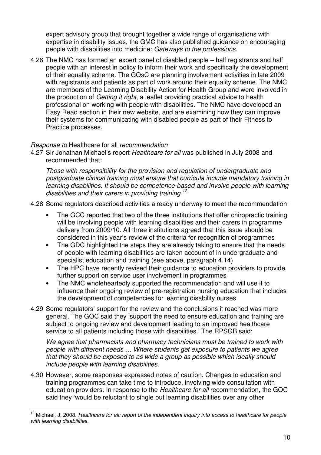expert advisory group that brought together a wide range of organisations with expertise in disability issues, the GMC has also published guidance on encouraging people with disabilities into medicine: Gateways to the professions.

4.26 The NMC has formed an expert panel of disabled people – half registrants and half people with an interest in policy to inform their work and specifically the development of their equality scheme. The GOsC are planning involvement activities in late 2009 with registrants and patients as part of work around their equality scheme. The NMC are members of the Learning Disability Action for Health Group and were involved in the production of Getting it right, a leaflet providing practical advice to health professional on working with people with disabilities. The NMC have developed an Easy Read section in their new website, and are examining how they can improve their systems for communicating with disabled people as part of their Fitness to Practice processes.

### Response to Healthcare for all recommendation

4.27 Sir Jonathan Michael's report Healthcare for all was published in July 2008 and recommended that:

Those with responsibility for the provision and regulation of undergraduate and postgraduate clinical training must ensure that curricula include mandatory training in learning disabilities. It should be competence-based and involve people with learning disabilities and their carers in providing training.<sup>12</sup>

- 4.28 Some regulators described activities already underway to meet the recommendation:
	- The GCC reported that two of the three institutions that offer chiropractic training will be involving people with learning disabilities and their carers in programme delivery from 2009/10. All three institutions agreed that this issue should be considered in this year's review of the criteria for recognition of programmes
	- The GDC highlighted the steps they are already taking to ensure that the needs of people with learning disabilities are taken account of in undergraduate and specialist education and training (see above, paragraph 4.14)
	- The HPC have recently revised their guidance to education providers to provide further support on service user involvement in programmes
	- The NMC wholeheartedly supported the recommendation and will use it to influence their ongoing review of pre-registration nursing education that includes the development of competencies for learning disability nurses.
- 4.29 Some regulators' support for the review and the conclusions it reached was more general. The GOC said they 'support the need to ensure education and training are subject to ongoing review and development leading to an improved healthcare service to all patients including those with disabilities.' The RPSGB said:

We agree that pharmacists and pharmacy technicians must be trained to work with people with different needs … Where students get exposure to patients we agree that they should be exposed to as wide a group as possible which ideally should include people with learning disabilities.

4.30 However, some responses expressed notes of caution. Changes to education and training programmes can take time to introduce, involving wide consultation with education providers. In response to the Healthcare for all recommendation, the GOC said they 'would be reluctant to single out learning disabilities over any other

 <sup>12</sup> Michael, J, 2008. Healthcare for all: report of the independent inquiry into access to healthcare for people with learning disabilities.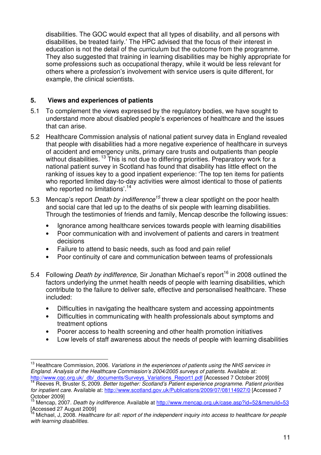disabilities. The GOC would expect that all types of disability, and all persons with disabilities, be treated fairly.' The HPC advised that the focus of their interest in education is not the detail of the curriculum but the outcome from the programme. They also suggested that training in learning disabilities may be highly appropriate for some professions such as occupational therapy, while it would be less relevant for others where a profession's involvement with service users is quite different, for example, the clinical scientists.

## **5. Views and experiences of patients**

- 5.1 To complement the views expressed by the regulatory bodies, we have sought to understand more about disabled people's experiences of healthcare and the issues that can arise.
- 5.2 Healthcare Commission analysis of national patient survey data in England revealed that people with disabilities had a more negative experience of healthcare in surveys of accident and emergency units, primary care trusts and outpatients than people without disabilities.<sup>13</sup> This is not due to differing priorities. Preparatory work for a national patient survey in Scotland has found that disability has little effect on the ranking of issues key to a good inpatient experience: 'The top ten items for patients who reported limited day-to-day activities were almost identical to those of patients who reported no limitations'.<sup>14</sup>
- 5.3 Mencap's report *Death by indifference*<sup>15</sup> threw a clear spotlight on the poor health and social care that led up to the deaths of six people with learning disabilities. Through the testimonies of friends and family, Mencap describe the following issues:
	- Ignorance among healthcare services towards people with learning disabilities
	- Poor communication with and involvement of patients and carers in treatment decisions
	- Failure to attend to basic needs, such as food and pain relief
	- Poor continuity of care and communication between teams of professionals
- 5.4 Following *Death by indifference*, Sir Jonathan Michael's report<sup>16</sup> in 2008 outlined the factors underlying the unmet health needs of people with learning disabilities, which contribute to the failure to deliver safe, effective and personalised healthcare. These included:
	- Difficulties in navigating the healthcare system and accessing appointments
	- Difficulties in communicating with health professionals about symptoms and treatment options
	- Poorer access to health screening and other health promotion initiatives
	- Low levels of staff awareness about the needs of people with learning disabilities

 $\overline{1}$ <sup>13</sup> Healthcare Commission, 2006. *Variations in the experiences of patients using the NHS services in* England. Analysis of the Healthcare Commission's 2004/2005 surveys of patients. Available at: http://www.cqc.org.uk/\_db/\_documents/Surveys\_Variations\_Report1.pdf [Accessed 7 October 2009]

Reeves R, Bruster S, 2009. Better together: Scotland's Patient experience programme. Patient priorities for inpatient care. Available at: http://www.scotland.gov.uk/Publications/2009/07/08114927/0 [Accessed 7 October 2009]

<sup>15</sup> Mencap, 2007. Death by indifference. Available at http://www.mencap.org.uk/case.asp?id=52&menuId=53  $[Accessed 27 August 2009]$ 

Michael, J, 2008. Healthcare for all: report of the independent inquiry into access to healthcare for people with learning disabilities.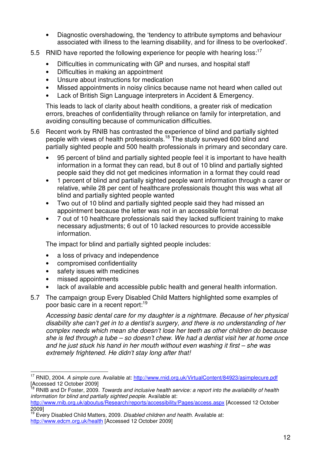- Diagnostic overshadowing, the 'tendency to attribute symptoms and behaviour associated with illness to the learning disability, and for illness to be overlooked'.
- 5.5 RNID have reported the following experience for people with hearing loss:<sup>17</sup>
	- Difficulties in communicating with GP and nurses, and hospital staff
	- Difficulties in making an appointment
	- Unsure about instructions for medication
	- Missed appointments in noisy clinics because name not heard when called out
	- Lack of British Sign Language interpreters in Accident & Emergency.

This leads to lack of clarity about health conditions, a greater risk of medication errors, breaches of confidentiality through reliance on family for interpretation, and avoiding consulting because of communication difficulties.

- 5.6 Recent work by RNIB has contrasted the experience of blind and partially sighted people with views of health professionals.<sup>18</sup> The study surveyed 600 blind and partially sighted people and 500 health professionals in primary and secondary care.
	- 95 percent of blind and partially sighted people feel it is important to have health information in a format they can read, but 8 out of 10 blind and partially sighted people said they did not get medicines information in a format they could read
	- 1 percent of blind and partially sighted people want information through a carer or relative, while 28 per cent of healthcare professionals thought this was what all blind and partially sighted people wanted
	- Two out of 10 blind and partially sighted people said they had missed an appointment because the letter was not in an accessible format
	- 7 out of 10 healthcare professionals said they lacked sufficient training to make necessary adjustments; 6 out of 10 lacked resources to provide accessible information.

The impact for blind and partially sighted people includes:

- a loss of privacy and independence
- compromised confidentiality
- safety issues with medicines
- missed appointments
- lack of available and accessible public health and general health information.
- 5.7 The campaign group Every Disabled Child Matters highlighted some examples of poor basic care in a recent report:<sup>19</sup>

Accessing basic dental care for my daughter is a nightmare. Because of her physical disability she can't get in to a dentist's surgery, and there is no understanding of her complex needs which mean she doesn't lose her teeth as other children do because she is fed through a tube – so doesn't chew. We had a dentist visit her at home once and he just stuck his hand in her mouth without even washing it first – she was extremely frightened. He didn't stay long after that!

 <sup>17</sup> RNID, 2004. A simple cure. Available at: http://www.rnid.org.uk/VirtualContent/84923/asimplecure.pdf [Accessed 12 October 2009]

<sup>&</sup>lt;sup>18</sup> RNIB and Dr Foster, 2009. *Towards and inclusive health service: a report into the availability of health* information for blind and partially sighted people. Available at:

http://www.rnib.org.uk/aboutus/Research/reports/accessibility/Pages/access.aspx [Accessed 12 October 2009]

<sup>&</sup>lt;sup>19</sup> Every Disabled Child Matters, 2009. Disabled children and health. Available at: http://www.edcm.org.uk/health [Accessed 12 October 2009]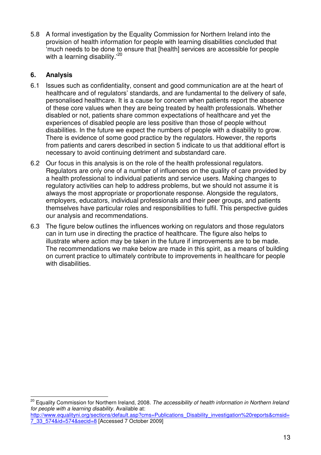5.8 A formal investigation by the Equality Commission for Northern Ireland into the provision of health information for people with learning disabilities concluded that 'much needs to be done to ensure that [health] services are accessible for people with a learning disability.'<sup>20</sup>

# **6. Analysis**

 $\overline{\phantom{a}}$ 

- 6.1 Issues such as confidentiality, consent and good communication are at the heart of healthcare and of regulators' standards, and are fundamental to the delivery of safe, personalised healthcare. It is a cause for concern when patients report the absence of these core values when they are being treated by health professionals. Whether disabled or not, patients share common expectations of healthcare and yet the experiences of disabled people are less positive than those of people without disabilities. In the future we expect the numbers of people with a disability to grow. There is evidence of some good practice by the regulators. However, the reports from patients and carers described in section 5 indicate to us that additional effort is necessary to avoid continuing detriment and substandard care.
- 6.2 Our focus in this analysis is on the role of the health professional regulators. Regulators are only one of a number of influences on the quality of care provided by a health professional to individual patients and service users. Making changes to regulatory activities can help to address problems, but we should not assume it is always the most appropriate or proportionate response. Alongside the regulators, employers, educators, individual professionals and their peer groups, and patients themselves have particular roles and responsibilities to fulfil. This perspective guides our analysis and recommendations.
- 6.3 The figure below outlines the influences working on regulators and those regulators can in turn use in directing the practice of healthcare. The figure also helps to illustrate where action may be taken in the future if improvements are to be made. The recommendations we make below are made in this spirit, as a means of building on current practice to ultimately contribute to improvements in healthcare for people with disabilities.

<sup>&</sup>lt;sup>20</sup> Equality Commission for Northern Ireland, 2008. The accessibility of health information in Northern Ireland for people with a learning disability. Available at: http://www.equalityni.org/sections/default.asp?cms=Publications\_Disability\_investigation%20reports&cmsid= 7\_33\_574&id=574&secid=8 [Accessed 7 October 2009]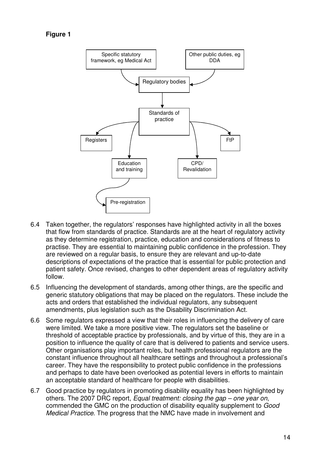```
Figure 1
```


- 6.4 Taken together, the regulators' responses have highlighted activity in all the boxes that flow from standards of practice. Standards are at the heart of regulatory activity as they determine registration, practice, education and considerations of fitness to practise. They are essential to maintaining public confidence in the profession. They are reviewed on a regular basis, to ensure they are relevant and up-to-date descriptions of expectations of the practice that is essential for public protection and patient safety. Once revised, changes to other dependent areas of regulatory activity follow.
- 6.5 Influencing the development of standards, among other things, are the specific and generic statutory obligations that may be placed on the regulators. These include the acts and orders that established the individual regulators, any subsequent amendments, plus legislation such as the Disability Discrimination Act.
- 6.6 Some regulators expressed a view that their roles in influencing the delivery of care were limited. We take a more positive view. The regulators set the baseline or threshold of acceptable practice by professionals, and by virtue of this, they are in a position to influence the quality of care that is delivered to patients and service users. Other organisations play important roles, but health professional regulators are the constant influence throughout all healthcare settings and throughout a professional's career. They have the responsibility to protect public confidence in the professions and perhaps to date have been overlooked as potential levers in efforts to maintain an acceptable standard of healthcare for people with disabilities.
- 6.7 Good practice by regulators in promoting disability equality has been highlighted by others. The 2007 DRC report, Equal treatment: closing the gap – one year on, commended the GMC on the production of disability equality supplement to Good Medical Practice. The progress that the NMC have made in involvement and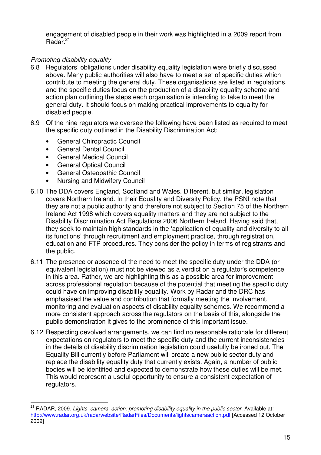engagement of disabled people in their work was highlighted in a 2009 report from Radar.<sup>21</sup>

# Promoting disability equality

- 6.8 Regulators' obligations under disability equality legislation were briefly discussed above. Many public authorities will also have to meet a set of specific duties which contribute to meeting the general duty. These organisations are listed in regulations, and the specific duties focus on the production of a disability equality scheme and action plan outlining the steps each organisation is intending to take to meet the general duty. It should focus on making practical improvements to equality for disabled people.
- 6.9 Of the nine regulators we oversee the following have been listed as required to meet the specific duty outlined in the Disability Discrimination Act:
	- General Chiropractic Council
	- General Dental Council
	- General Medical Council
	- General Optical Council
	- General Osteopathic Council
	- Nursing and Midwifery Council
- 6.10 The DDA covers England, Scotland and Wales. Different, but similar, legislation covers Northern Ireland. In their Equality and Diversity Policy, the PSNI note that they are not a public authority and therefore not subject to Section 75 of the Northern Ireland Act 1998 which covers equality matters and they are not subject to the Disability Discrimination Act Regulations 2006 Northern Ireland. Having said that, they seek to maintain high standards in the 'application of equality and diversity to all its functions' through recruitment and employment practice, through registration, education and FTP procedures. They consider the policy in terms of registrants and the public.
- 6.11 The presence or absence of the need to meet the specific duty under the DDA (or equivalent legislation) must not be viewed as a verdict on a regulator's competence in this area. Rather, we are highlighting this as a possible area for improvement across professional regulation because of the potential that meeting the specific duty could have on improving disability equality. Work by Radar and the DRC has emphasised the value and contribution that formally meeting the involvement, monitoring and evaluation aspects of disability equality schemes. We recommend a more consistent approach across the regulators on the basis of this, alongside the public demonstration it gives to the prominence of this important issue.
- 6.12 Respecting devolved arrangements, we can find no reasonable rationale for different expectations on regulators to meet the specific duty and the current inconsistencies in the details of disability discrimination legislation could usefully be ironed out. The Equality Bill currently before Parliament will create a new public sector duty and replace the disability equality duty that currently exists. Again, a number of public bodies will be identified and expected to demonstrate how these duties will be met. This would represent a useful opportunity to ensure a consistent expectation of regulators.

 $\overline{\phantom{a}}$ <sup>21</sup> RADAR, 2009. Lights, camera, action: promoting disability equality in the public sector. Available at: http://www.radar.org.uk/radarwebsite/RadarFiles/Documents/lightscameraaction.pdf [Accessed 12 October 2009]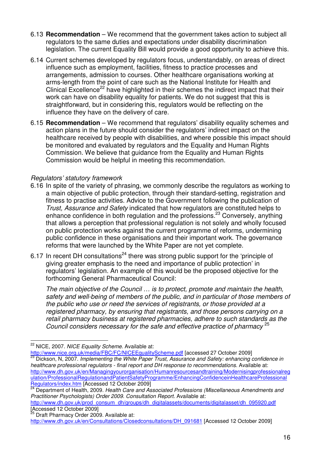- 6.13 **Recommendation** We recommend that the government takes action to subject all regulators to the same duties and expectations under disability discrimination legislation. The current Equality Bill would provide a good opportunity to achieve this.
- 6.14 Current schemes developed by regulators focus, understandably, on areas of direct influence such as employment, facilities, fitness to practice processes and arrangements, admission to courses. Other healthcare organisations working at arms-length from the point of care such as the National Institute for Health and Clinical Excellence<sup>22</sup> have highlighted in their schemes the indirect impact that their work can have on disability equality for patients. We do not suggest that this is straightforward, but in considering this, regulators would be reflecting on the influence they have on the delivery of care.
- 6.15 **Recommendation**  We recommend that regulators' disability equality schemes and action plans in the future should consider the regulators' indirect impact on the healthcare received by people with disabilities, and where possible this impact should be monitored and evaluated by regulators and the Equality and Human Rights Commission. We believe that guidance from the Equality and Human Rights Commission would be helpful in meeting this recommendation.

## Regulators' statutory framework

- 6.16 In spite of the variety of phrasing, we commonly describe the regulators as working to a main objective of public protection, through their standard-setting, registration and fitness to practise activities. Advice to the Government following the publication of Trust, Assurance and Safety indicated that how regulators are constituted helps to enhance confidence in both regulation and the professions.<sup>23</sup> Conversely, anything that allows a perception that professional regulation is not solely and wholly focused on public protection works against the current programme of reforms, undermining public confidence in these organisations and their important work. The governance reforms that were launched by the White Paper are not yet complete.
- 6.17 In recent DH consultations<sup>24</sup> there was strong public support for the 'principle of giving greater emphasis to the need and importance of public protection' in regulators' legislation. An example of this would be the proposed objective for the forthcoming General Pharmaceutical Council:

The main objective of the Council … is to protect, promote and maintain the health, safety and well-being of members of the public, and in particular of those members of the public who use or need the services of registrants, or those provided at a registered pharmacy, by ensuring that registrants, and those persons carrying on a retail pharmacy business at registered pharmacies, adhere to such standards as the Council considers necessary for the safe and effective practice of pharmacy<sup>25</sup>

http://www.dh.gov.uk/prod\_consum\_dh/groups/dh\_digitalassets/documents/digitalasset/dh\_095920.pdf [Accessed 12 October 2009]

 $\overline{\phantom{a}}$ <sup>22</sup> NICE, 2007. NICE Equality Scheme. Available at:

http://www.nice.org.uk/media/FBC/FC/NICEEqualityScheme.pdf [accessed 27 October 2009] Dickson, N, 2007. Implementing the White Paper Trust, Assurance and Safety: enhancing confidence in healthcare professional regulators - final report and DH response to recommendations. Available at: http://www.dh.gov.uk/en/Managingyourorganisation/Humanresourcesandtraining/Modernisingprofessionalreg ulation/ProfessionalRegulationandPatientSafetyProgramme/EnhancingConfidenceinHealthcareProfessional Regulators/index.htm [Accessed 12 October 2009]

<sup>&</sup>lt;sup>24</sup> Department of Health, 2009. Health Care and Associated Professions (Miscellaneous Amendments and Practitioner Psychologists) Order 2009. Consultation Report. Available at:

Draft Pharmacy Order 2009. Available at: http://www.dh.gov.uk/en/Consultations/Closedconsultations/DH\_091681 [Accessed 12 October 2009]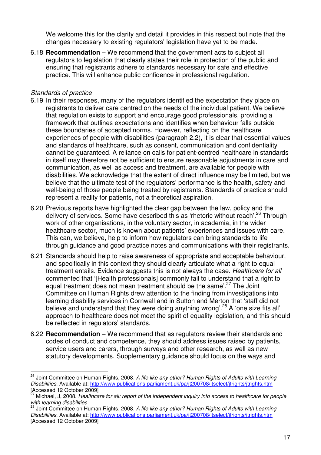We welcome this for the clarity and detail it provides in this respect but note that the changes necessary to existing regulators' legislation have yet to be made.

6.18 **Recommendation** – We recommend that the government acts to subject all regulators to legislation that clearly states their role in protection of the public and ensuring that registrants adhere to standards necessary for safe and effective practice. This will enhance public confidence in professional regulation.

## Standards of practice

 $\overline{\phantom{a}}$ 

- 6.19 In their responses, many of the regulators identified the expectation they place on registrants to deliver care centred on the needs of the individual patient. We believe that regulation exists to support and encourage good professionals, providing a framework that outlines expectations and identifies when behaviour falls outside these boundaries of accepted norms. However, reflecting on the healthcare experiences of people with disabilities (paragraph 2.2), it is clear that essential values and standards of healthcare, such as consent, communication and confidentiality cannot be guaranteed. A reliance on calls for patient-centred healthcare in standards in itself may therefore not be sufficient to ensure reasonable adjustments in care and communication, as well as access and treatment, are available for people with disabilities. We acknowledge that the extent of direct influence may be limited, but we believe that the ultimate test of the regulators' performance is the health, safety and well-being of those people being treated by registrants. Standards of practice should represent a reality for patients, not a theoretical aspiration.
- 6.20 Previous reports have highlighted the clear gap between the law, policy and the delivery of services. Some have described this as 'rhetoric without reach'.<sup>26</sup> Through work of other organisations, in the voluntary sector, in academia, in the wider healthcare sector, much is known about patients' experiences and issues with care. This can, we believe, help to inform how regulators can bring standards to life through guidance and good practice notes and communications with their registrants.
- 6.21 Standards should help to raise awareness of appropriate and acceptable behaviour, and specifically in this context they should clearly articulate what a right to equal treatment entails. Evidence suggests this is not always the case. Healthcare for all commented that '[Health professionals] commonly fail to understand that a right to equal treatment does not mean treatment should be the same<sup>'.27</sup> The Joint Committee on Human Rights drew attention to the finding from investigations into learning disability services in Cornwall and in Sutton and Merton that 'staff did not believe and understand that they were doing anything wrong<sup>' 28</sup> A 'one size fits all' approach to healthcare does not meet the spirit of equality legislation, and this should be reflected in regulators' standards.
- 6.22 **Recommendation** We recommend that as regulators review their standards and codes of conduct and competence, they should address issues raised by patients, service users and carers, through surveys and other research, as well as new statutory developments. Supplementary guidance should focus on the ways and

<sup>&</sup>lt;sup>26</sup> Joint Committee on Human Rights, 2008. A life like any other? Human Rights of Adults with Learning Disabilities. Available at: http://www.publications.parliament.uk/pa/jt200708/jtselect/jtrights/jtrights.htm [Accessed 12 October 2009]

Michael, J, 2008. Healthcare for all: report of the independent inquiry into access to healthcare for people with learning disabilities.

<sup>&</sup>lt;sup>28</sup> Joint Committee on Human Rights, 2008. A life like any other? Human Rights of Adults with Learning Disabilities. Available at: http://www.publications.parliament.uk/pa/jt200708/jtselect/jtrights/jtrights.htm [Accessed 12 October 2009]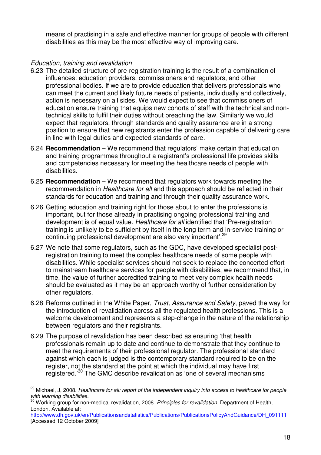means of practising in a safe and effective manner for groups of people with different disabilities as this may be the most effective way of improving care.

## Education, training and revalidation

- 6.23 The detailed structure of pre-registration training is the result of a combination of influences: education providers, commissioners and regulators, and other professional bodies. If we are to provide education that delivers professionals who can meet the current and likely future needs of patients, individually and collectively, action is necessary on all sides. We would expect to see that commissioners of education ensure training that equips new cohorts of staff with the technical and nontechnical skills to fulfil their duties without breaching the law. Similarly we would expect that regulators, through standards and quality assurance are in a strong position to ensure that new registrants enter the profession capable of delivering care in line with legal duties and expected standards of care.
- 6.24 **Recommendation** We recommend that regulators' make certain that education and training programmes throughout a registrant's professional life provides skills and competencies necessary for meeting the healthcare needs of people with disabilities.
- 6.25 **Recommendation** We recommend that regulators work towards meeting the recommendation in Healthcare for all and this approach should be reflected in their standards for education and training and through their quality assurance work.
- 6.26 Getting education and training right for those about to enter the professions is important, but for those already in practising ongoing professional training and development is of equal value. Healthcare for all identified that 'Pre-registration training is unlikely to be sufficient by itself in the long term and in-service training or continuing professional development are also very important'.<sup>29</sup>
- 6.27 We note that some regulators, such as the GDC, have developed specialist postregistration training to meet the complex healthcare needs of some people with disabilities. While specialist services should not seek to replace the concerted effort to mainstream healthcare services for people with disabilities, we recommend that, in time, the value of further accredited training to meet very complex health needs should be evaluated as it may be an approach worthy of further consideration by other regulators.
- 6.28 Reforms outlined in the White Paper, Trust, Assurance and Safety, paved the way for the introduction of revalidation across all the regulated health professions. This is a welcome development and represents a step-change in the nature of the relationship between regulators and their registrants.
- 6.29 The purpose of revalidation has been described as ensuring 'that health professionals remain up to date and continue to demonstrate that they continue to meet the requirements of their professional regulator. The professional standard against which each is judged is the contemporary standard required to be on the register, not the standard at the point at which the individual may have first registered.'<sup>30</sup> The GMC describe revalidation as 'one of several mechanisms

 $\overline{\phantom{a}}$ <sup>29</sup> Michael, J. 2008. Healthcare for all: report of the independent inquiry into access to healthcare for people with learning disabilities.

with rearring disabilities.<br><sup>30</sup> Working group for non-medical revalidation, 2008. Principles for revalidation. Department of Health, London. Available at:

http://www.dh.gov.uk/en/Publicationsandstatistics/Publications/PublicationsPolicyAndGuidance/DH\_091111 [Accessed 12 October 2009]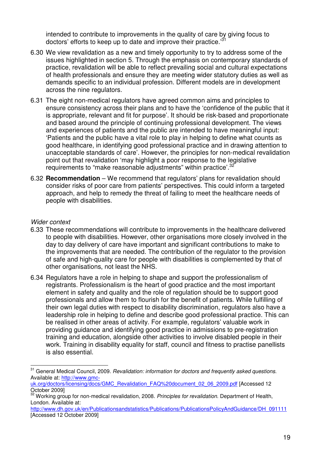intended to contribute to improvements in the quality of care by giving focus to doctors' efforts to keep up to date and improve their practice."

- 6.30 We view revalidation as a new and timely opportunity to try to address some of the issues highlighted in section 5. Through the emphasis on contemporary standards of practice, revalidation will be able to reflect prevailing social and cultural expectations of health professionals and ensure they are meeting wider statutory duties as well as demands specific to an individual profession. Different models are in development across the nine regulators.
- 6.31 The eight non-medical regulators have agreed common aims and principles to ensure consistency across their plans and to have the 'confidence of the public that it is appropriate, relevant and fit for purpose'. It should be risk-based and proportionate and based around the principle of continuing professional development. The views and experiences of patients and the public are intended to have meaningful input: 'Patients and the public have a vital role to play in helping to define what counts as good healthcare, in identifying good professional practice and in drawing attention to unacceptable standards of care'. However, the principles for non-medical revalidation point out that revalidation 'may highlight a poor response to the legislative requirements to "make reasonable adjustments" within practice'.<sup>32</sup>
- 6.32 **Recommendation** We recommend that regulators' plans for revalidation should consider risks of poor care from patients' perspectives. This could inform a targeted approach, and help to remedy the threat of failing to meet the healthcare needs of people with disabilities.

### Wider context

- 6.33 These recommendations will contribute to improvements in the healthcare delivered to people with disabilities. However, other organisations more closely involved in the day to day delivery of care have important and significant contributions to make to the improvements that are needed. The contribution of the regulator to the provision of safe and high-quality care for people with disabilities is complemented by that of other organisations, not least the NHS.
- 6.34 Regulators have a role in helping to shape and support the professionalism of registrants. Professionalism is the heart of good practice and the most important element in safety and quality and the role of regulation should be to support good professionals and allow them to flourish for the benefit of patients. While fulfilling of their own legal duties with respect to disability discrimination, regulators also have a leadership role in helping to define and describe good professional practice. This can be realised in other areas of activity. For example, regulators' valuable work in providing guidance and identifying good practice in admissions to pre-registration training and education, alongside other activities to involve disabled people in their work. Training in disability equality for staff, council and fitness to practise panellists is also essential.

 $\overline{\phantom{a}}$ <sup>31</sup> General Medical Council, 2009. Revalidation: information for doctors and frequently asked questions. Available at: http://www.gmc-

uk.org/doctors/licensing/docs/GMC\_Revalidation\_FAQ%20document\_02\_06\_2009.pdf [Accessed 12 October 2009]

Working group for non-medical revalidation, 2008. Principles for revalidation. Department of Health, London. Available at:

http://www.dh.gov.uk/en/Publicationsandstatistics/Publications/PublicationsPolicyAndGuidance/DH\_091111 [Accessed 12 October 2009]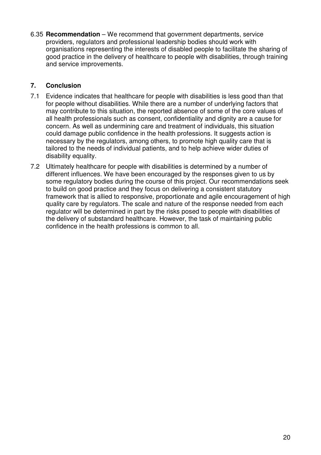6.35 **Recommendation** – We recommend that government departments, service providers, regulators and professional leadership bodies should work with organisations representing the interests of disabled people to facilitate the sharing of good practice in the delivery of healthcare to people with disabilities, through training and service improvements.

## **7. Conclusion**

- 7.1 Evidence indicates that healthcare for people with disabilities is less good than that for people without disabilities. While there are a number of underlying factors that may contribute to this situation, the reported absence of some of the core values of all health professionals such as consent, confidentiality and dignity are a cause for concern. As well as undermining care and treatment of individuals, this situation could damage public confidence in the health professions. It suggests action is necessary by the regulators, among others, to promote high quality care that is tailored to the needs of individual patients, and to help achieve wider duties of disability equality.
- 7.2 Ultimately healthcare for people with disabilities is determined by a number of different influences. We have been encouraged by the responses given to us by some regulatory bodies during the course of this project. Our recommendations seek to build on good practice and they focus on delivering a consistent statutory framework that is allied to responsive, proportionate and agile encouragement of high quality care by regulators. The scale and nature of the response needed from each regulator will be determined in part by the risks posed to people with disabilities of the delivery of substandard healthcare. However, the task of maintaining public confidence in the health professions is common to all.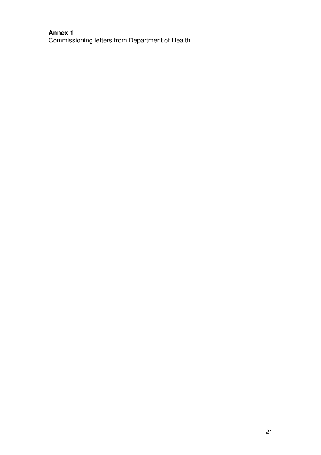## **Annex 1**  Commissioning letters from Department of Health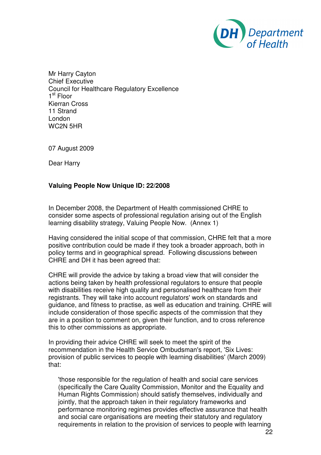

Mr Harry Cayton Chief Executive Council for Healthcare Regulatory Excellence 1<sup>st</sup> Floor Kierran Cross 11 Strand London WC2N 5HR

07 August 2009

Dear Harry

### **Valuing People Now Unique ID: 22/2008**

In December 2008, the Department of Health commissioned CHRE to consider some aspects of professional regulation arising out of the English learning disability strategy, Valuing People Now. (Annex 1)

Having considered the initial scope of that commission, CHRE felt that a more positive contribution could be made if they took a broader approach, both in policy terms and in geographical spread. Following discussions between CHRE and DH it has been agreed that:

CHRE will provide the advice by taking a broad view that will consider the actions being taken by health professional regulators to ensure that people with disabilities receive high quality and personalised healthcare from their registrants. They will take into account regulators' work on standards and guidance, and fitness to practise, as well as education and training. CHRE will include consideration of those specific aspects of the commission that they are in a position to comment on, given their function, and to cross reference this to other commissions as appropriate.

In providing their advice CHRE will seek to meet the spirit of the recommendation in the Health Service Ombudsman's report, 'Six Lives: provision of public services to people with learning disabilities' (March 2009) that:

'those responsible for the regulation of health and social care services (specifically the Care Quality Commission, Monitor and the Equality and Human Rights Commission) should satisfy themselves, individually and jointly, that the approach taken in their regulatory frameworks and performance monitoring regimes provides effective assurance that health and social care organisations are meeting their statutory and regulatory requirements in relation to the provision of services to people with learning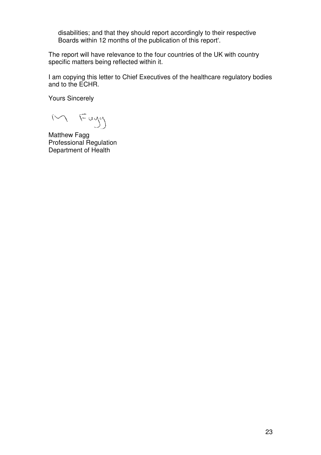disabilities; and that they should report accordingly to their respective Boards within 12 months of the publication of this report'.

The report will have relevance to the four countries of the UK with country specific matters being reflected within it.

I am copying this letter to Chief Executives of the healthcare regulatory bodies and to the ECHR.

Yours Sincerely

M Fagy

Matthew Fagg Professional Regulation Department of Health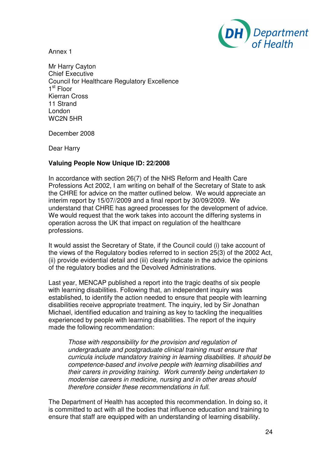

Annex 1

Mr Harry Cayton Chief Executive Council for Healthcare Regulatory Excellence 1<sup>st</sup> Floor Kierran Cross 11 Strand London WC2N 5HR

December 2008

Dear Harry

### **Valuing People Now Unique ID: 22/2008**

In accordance with section 26(7) of the NHS Reform and Health Care Professions Act 2002, I am writing on behalf of the Secretary of State to ask the CHRE for advice on the matter outlined below. We would appreciate an interim report by 15/07//2009 and a final report by 30/09/2009. We understand that CHRE has agreed processes for the development of advice. We would request that the work takes into account the differing systems in operation across the UK that impact on regulation of the healthcare professions.

It would assist the Secretary of State, if the Council could (i) take account of the views of the Regulatory bodies referred to in section 25(3) of the 2002 Act, (ii) provide evidential detail and (iii) clearly indicate in the advice the opinions of the regulatory bodies and the Devolved Administrations.

Last year, MENCAP published a report into the tragic deaths of six people with learning disabilities. Following that, an independent inquiry was established, to identify the action needed to ensure that people with learning disabilities receive appropriate treatment. The inquiry, led by Sir Jonathan Michael, identified education and training as key to tackling the inequalities experienced by people with learning disabilities. The report of the inquiry made the following recommendation:

Those with responsibility for the provision and regulation of undergraduate and postgraduate clinical training must ensure that curricula include mandatory training in learning disabilities. It should be competence-based and involve people with learning disabilities and their carers in providing training. Work currently being undertaken to modernise careers in medicine, nursing and in other areas should therefore consider these recommendations in full.

The Department of Health has accepted this recommendation. In doing so, it is committed to act with all the bodies that influence education and training to ensure that staff are equipped with an understanding of learning disability.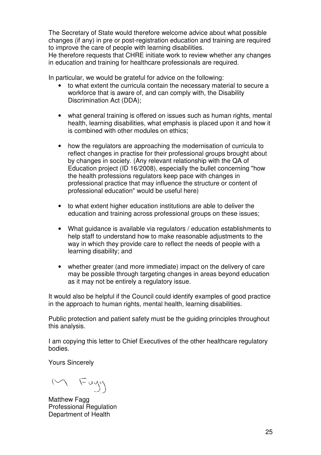The Secretary of State would therefore welcome advice about what possible changes (if any) in pre or post-registration education and training are required to improve the care of people with learning disabilities.

He therefore requests that CHRE initiate work to review whether any changes in education and training for healthcare professionals are required.

In particular, we would be grateful for advice on the following:

- to what extent the curricula contain the necessary material to secure a workforce that is aware of, and can comply with, the Disability Discrimination Act (DDA);
- what general training is offered on issues such as human rights, mental health, learning disabilities, what emphasis is placed upon it and how it is combined with other modules on ethics;
- how the regulators are approaching the modernisation of curricula to reflect changes in practise for their professional groups brought about by changes in society. (Any relevant relationship with the QA of Education project (ID 16/2008), especially the bullet concerning "how the health professions regulators keep pace with changes in professional practice that may influence the structure or content of professional education" would be useful here)
- to what extent higher education institutions are able to deliver the education and training across professional groups on these issues;
- What guidance is available via regulators / education establishments to help staff to understand how to make reasonable adjustments to the way in which they provide care to reflect the needs of people with a learning disability; and
- whether greater (and more immediate) impact on the delivery of care may be possible through targeting changes in areas beyond education as it may not be entirely a regulatory issue.

It would also be helpful if the Council could identify examples of good practice in the approach to human rights, mental health, learning disabilities.

Public protection and patient safety must be the guiding principles throughout this analysis.

I am copying this letter to Chief Executives of the other healthcare regulatory bodies.

Yours Sincerely

M Fagg

**Matthew Fagg** Professional Regulation Department of Health